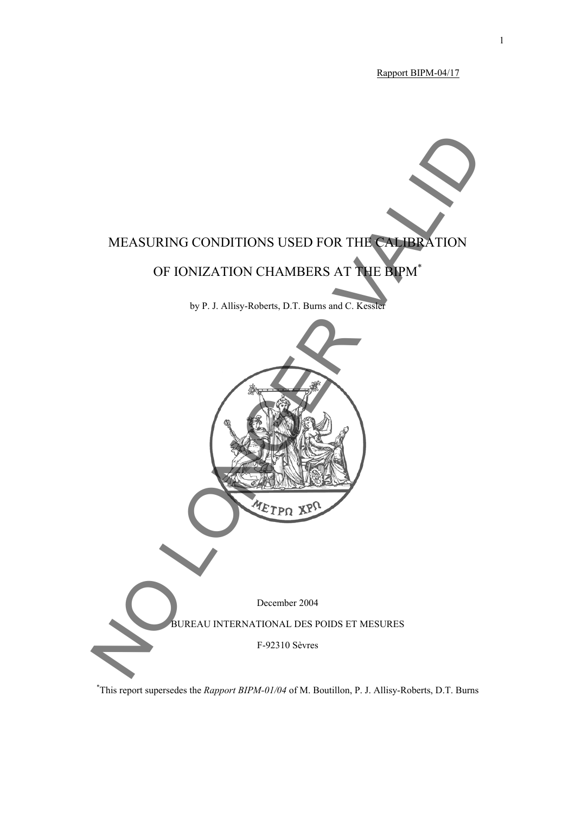Rapport BIPM-04/17



\* This report supersedes the *Rapport BIPM-01/04* of M. Boutillon, P. J. Allisy-Roberts, D.T. Burns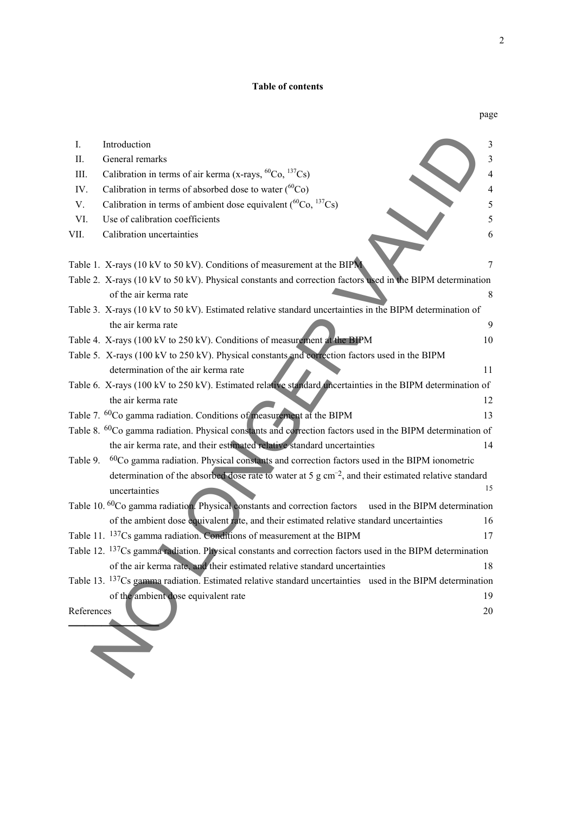#### **Table of contents**

|            |                                                                                                                        | page |
|------------|------------------------------------------------------------------------------------------------------------------------|------|
| I.         | Introduction                                                                                                           | 3    |
| Π.         | General remarks                                                                                                        | 3    |
| III.       | Calibration in terms of air kerma (x-rays, ${}^{60}Co$ , ${}^{137}Cs$ )                                                | 4    |
| IV.        | Calibration in terms of absorbed dose to water $(^{60}Co)$                                                             | 4    |
| V.         | Calibration in terms of ambient dose equivalent ( ${}^{60}Co, {}^{137}Cs$ )                                            | 5    |
| VI.        | Use of calibration coefficients                                                                                        | 5    |
| VII.       | Calibration uncertainties                                                                                              | 6    |
|            | Table 1. X-rays (10 kV to 50 kV). Conditions of measurement at the BIPM                                                | 7    |
|            | Table 2. X-rays (10 kV to 50 kV). Physical constants and correction factors used in the BIPM determination             |      |
|            | of the air kerma rate                                                                                                  | 8    |
|            | Table 3. X-rays (10 kV to 50 kV). Estimated relative standard uncertainties in the BIPM determination of               |      |
|            | the air kerma rate                                                                                                     | 9    |
|            | Table 4. X-rays (100 kV to 250 kV). Conditions of measurement at the BIPM                                              | 10   |
|            | Table 5. X-rays (100 kV to 250 kV). Physical constants and correction factors used in the BIPM                         |      |
|            | determination of the air kerma rate                                                                                    | 11   |
|            | Table 6. X-rays (100 kV to 250 kV). Estimated relative standard uncertainties in the BIPM determination of             |      |
|            | the air kerma rate                                                                                                     | 12   |
|            | Table 7. <sup>60</sup> Co gamma radiation. Conditions of measurement at the BIPM                                       | 13   |
|            | Table 8. <sup>60</sup> Co gamma radiation. Physical constants and correction factors used in the BIPM determination of |      |
|            | the air kerma rate, and their estimated relative standard uncertainties                                                | 14   |
| Table 9.   | $60Co$ gamma radiation. Physical constants and correction factors used in the BIPM ionometric                          |      |
|            | determination of the absorbed dose rate to water at 5 g $cm-2$ , and their estimated relative standard                 |      |
|            | uncertainties                                                                                                          | 15   |
|            | Table 10. <sup>60</sup> Co gamma radiation. Physical constants and correction factors used in the BIPM determination   |      |
|            | of the ambient dose equivalent rate, and their estimated relative standard uncertainties                               | 16   |
|            | Table 11. <sup>137</sup> Cs gamma radiation. Conditions of measurement at the BIPM                                     | 17   |
|            | Table 12. <sup>137</sup> Cs gamma radiation. Physical constants and correction factors used in the BIPM determination  |      |
|            | of the air kerma rate, and their estimated relative standard uncertainties                                             | 18   |
|            | Table 13. <sup>137</sup> Cs gamma radiation. Estimated relative standard uncertainties used in the BIPM determination  |      |
|            | of the ambient dose equivalent rate                                                                                    | 19   |
| References |                                                                                                                        | 20   |
|            |                                                                                                                        |      |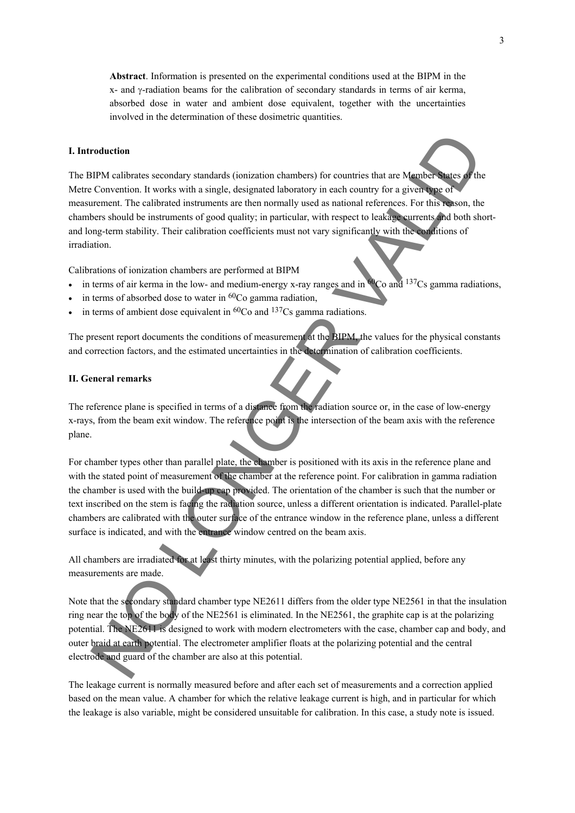**Abstract**. Information is presented on the experimental conditions used at the BIPM in the x- and γ-radiation beams for the calibration of secondary standards in terms of air kerma, absorbed dose in water and ambient dose equivalent, together with the uncertainties involved in the determination of these dosimetric quantities.

#### **I. Introduction**

The BIPM calibrates secondary standards (ionization chambers) for countries that are Member States of the Metre Convention. It works with a single, designated laboratory in each country for a given type of measurement. The calibrated instruments are then normally used as national references. For this reason, the chambers should be instruments of good quality; in particular, with respect to leakage currents and both shortand long-term stability. Their calibration coefficients must not vary significantly with the conditions of irradiation. **FORD CONSULTER CONSULTER CONSULTER CONSULTER CONSULTER CONSULTER CONSULTER CONSULTER CONSULTER CONSULTER CONSULTER CONSULTER CONSULTER CONSULTER CONSULTER CONSULTER CONSULTER CONSULTER CONSULTER CONSULTER CONSULTER CONSUL** 

Calibrations of ionization chambers are performed at BIPM

- in terms of air kerma in the low- and medium-energy x-ray ranges and in  $^{60}Co$  and  $^{137}Cs$  gamma radiations,
- in terms of absorbed dose to water in  ${}^{60}Co$  gamma radiation,
- in terms of ambient dose equivalent in  ${}^{60}Co$  and  ${}^{137}Cs$  gamma radiations.

The present report documents the conditions of measurement at the BIPM, the values for the physical constants and correction factors, and the estimated uncertainties in the determination of calibration coefficients.

#### **II. General remarks**

The reference plane is specified in terms of a distance from the radiation source or, in the case of low-energy x-rays, from the beam exit window. The reference point is the intersection of the beam axis with the reference plane.

For chamber types other than parallel plate, the chamber is positioned with its axis in the reference plane and with the stated point of measurement of the chamber at the reference point. For calibration in gamma radiation the chamber is used with the build-up cap provided. The orientation of the chamber is such that the number or text inscribed on the stem is facing the radiation source, unless a different orientation is indicated. Parallel-plate chambers are calibrated with the outer surface of the entrance window in the reference plane, unless a different surface is indicated, and with the entrance window centred on the beam axis.

All chambers are irradiated for at least thirty minutes, with the polarizing potential applied, before any measurements are made.

Note that the secondary standard chamber type NE2611 differs from the older type NE2561 in that the insulation ring near the top of the body of the NE2561 is eliminated. In the NE2561, the graphite cap is at the polarizing potential. The NE2611 is designed to work with modern electrometers with the case, chamber cap and body, and outer braid at earth potential. The electrometer amplifier floats at the polarizing potential and the central electrode and guard of the chamber are also at this potential.

The leakage current is normally measured before and after each set of measurements and a correction applied based on the mean value. A chamber for which the relative leakage current is high, and in particular for which the leakage is also variable, might be considered unsuitable for calibration. In this case, a study note is issued.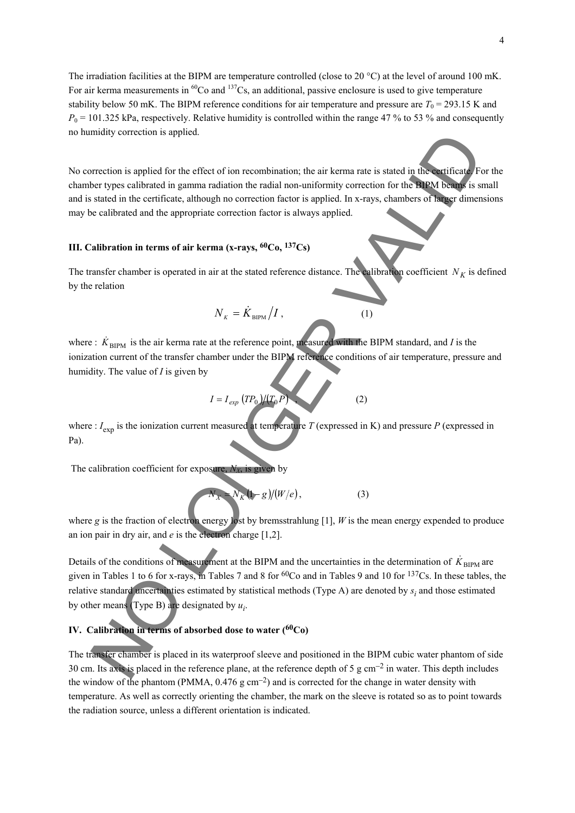The irradiation facilities at the BIPM are temperature controlled (close to 20 °C) at the level of around 100 mK. For air kerma measurements in  ${}^{60}Co$  and  ${}^{137}Cs$ , an additional, passive enclosure is used to give temperature stability below 50 mK. The BIPM reference conditions for air temperature and pressure are  $T_0 = 293.15$  K and  $P_0$  = 101.325 kPa, respectively. Relative humidity is controlled within the range 47 % to 53 % and consequently no humidity correction is applied.

No correction is applied for the effect of ion recombination; the air kerma rate is stated in the certificate. For the chamber types calibrated in gamma radiation the radial non-uniformity correction for the BIPM beams is small and is stated in the certificate, although no correction factor is applied. In x-rays, chambers of larger dimensions may be calibrated and the appropriate correction factor is always applied.

### **III. Calibration in terms of air kerma (x-rays, 60Co, 137Cs)**

The transfer chamber is operated in air at the stated reference distance. The calibration coefficient  $N_K$  is defined by the relation

$$
N_{K} = \dot{K}_{\text{BIPM}} / I , \qquad (1)
$$

where  $\pm K_{\text{BIPM}}$  is the air kerma rate at the reference point, measured with the BIPM standard, and *I* is the ionization current of the transfer chamber under the BIPM reference conditions of air temperature, pressure and humidity. The value of *I* is given by

$$
I = I_{exp} (TP_0)/(T_0 P) \tag{2}
$$

where :  $I_{\text{exp}}$  is the ionization current measured at temperature *T* (expressed in K) and pressure *P* (expressed in Pa).

The calibration coefficient for exposure,  $N_X$  is given by

$$
N_X = N_K (1 - g)/(W/e), \qquad (3)
$$

where *g* is the fraction of electron energy lost by bremsstrahlung [1], *W* is the mean energy expended to produce an ion pair in dry air, and *e* is the electron charge [1,2].

Details of the conditions of measurement at the BIPM and the uncertainties in the determination of  $K_{\text{BIPM}}$  are given in Tables 1 to 6 for x-rays, in Tables 7 and 8 for 60Co and in Tables 9 and 10 for 137Cs. In these tables, the relative standard uncertainties estimated by statistical methods (Type A) are denoted by  $s_i$  and those estimated by other means (Type B) are designated by  $u_i$ . meany correction is applied for the effect of ion recombination; the air kerna rate is stated in the nitrical Field with the relation of each control is stated in the certificial and non-orienterise control for the Equipm

# **IV. Calibration in terms of absorbed dose to water (60Co)**

The transfer chamber is placed in its waterproof sleeve and positioned in the BIPM cubic water phantom of side 30 cm. Its axis is placed in the reference plane, at the reference depth of 5 g cm−2 in water. This depth includes the window of the phantom (PMMA, 0.476 g cm−2) and is corrected for the change in water density with temperature. As well as correctly orienting the chamber, the mark on the sleeve is rotated so as to point towards the radiation source, unless a different orientation is indicated.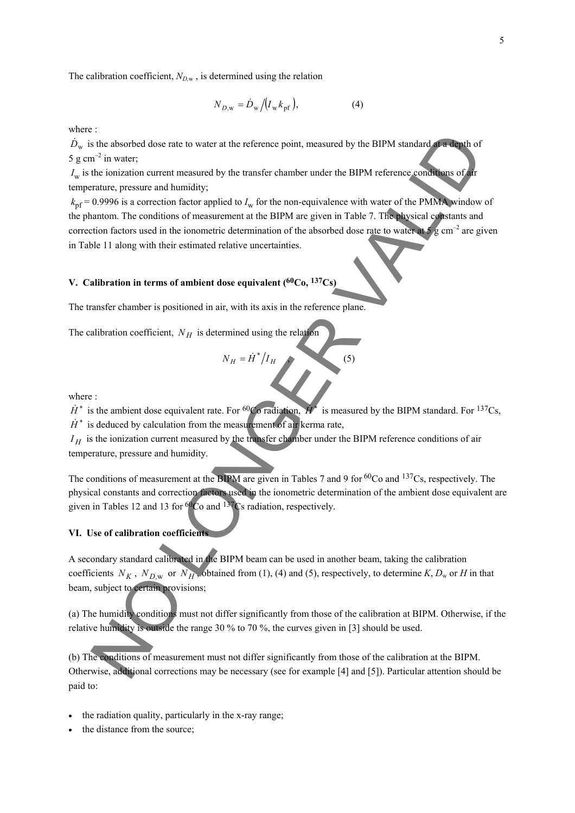The calibration coefficient,  $N_{D,w}$ , is determined using the relation

$$
N_{D,\mathbf{w}} = \dot{D}_{\mathbf{w}} \big/ \big( I_{\mathbf{w}} k_{\mathbf{p} \mathbf{f}} \big),\tag{4}
$$

where :

 $\dot{D}_{\rm w}$  is the absorbed dose rate to water at the reference point, measured by the BIPM standard at a depth of 5 g cm<sup>-2</sup> in water;

 $I_w$  is the ionization current measured by the transfer chamber under the BIPM reference conditions of air temperature, pressure and humidity;

 $k<sub>pf</sub> = 0.9996$  is a correction factor applied to  $I<sub>w</sub>$  for the non-equivalence with water of the PMMA window of the phantom. The conditions of measurement at the BIPM are given in Table 7. The physical constants and correction factors used in the ionometric determination of the absorbed dose rate to water at  $5.6 \text{ cm}^{-2}$  are given in Table 11 along with their estimated relative uncertainties. Sometive of the three controls of the transfer channels of the signal (4) the standard of the invarianty the transfer channel by the transfer chamber under the BIPM reference conditions of  $n^2$  in water,<br>the invariant pr

# **V. Calibration in terms of ambient dose equivalent (60Co, 137Cs)**

The transfer chamber is positioned in air, with its axis in the reference plane.

The calibration coefficient,  $N_H$  is determined using the relation

$$
N_H = \dot{H}^* / I_H
$$
 (5)

where :

 $\dot{H}^*$  is the ambient dose equivalent rate. For <sup>60</sup>Co radiation,  $\dot{H}^*$  is measured by the BIPM standard. For <sup>137</sup>Cs,  $\dot{H}^*$  is deduced by calculation from the measurement of air kerma rate,

 $I_H$  is the ionization current measured by the transfer chamber under the BIPM reference conditions of air temperature, pressure and humidity.

The conditions of measurement at the BIPM are given in Tables 7 and 9 for <sup>60</sup>Co and <sup>137</sup>Cs, respectively. The physical constants and correction factors used in the ionometric determination of the ambient dose equivalent are given in Tables 12 and 13 for  ${}^{60}Co$  and  ${}^{137}Cs$  radiation, respectively.

## **VI. Use of calibration coefficients**

A secondary standard calibrated in the BIPM beam can be used in another beam, taking the calibration coefficients  $N_K$ ,  $N_{D,w}$  or  $N_H$ , obtained from (1), (4) and (5), respectively, to determine K,  $D_w$  or *H* in that beam, subject to certain provisions;

(a) The humidity conditions must not differ significantly from those of the calibration at BIPM. Otherwise, if the relative humidity is outside the range 30 % to 70 %, the curves given in [3] should be used.

(b) The conditions of measurement must not differ significantly from those of the calibration at the BIPM. Otherwise, additional corrections may be necessary (see for example [4] and [5]). Particular attention should be paid to:

- the radiation quality, particularly in the x-ray range;
- the distance from the source;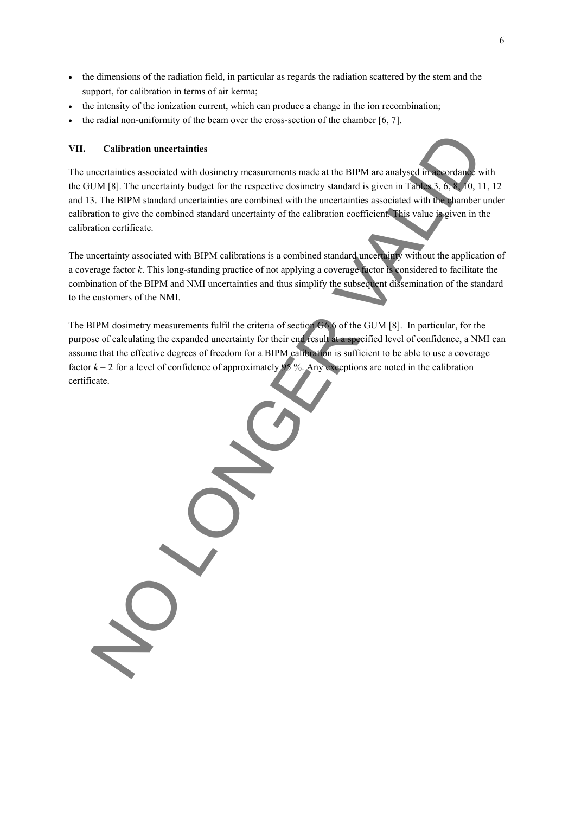- the dimensions of the radiation field, in particular as regards the radiation scattered by the stem and the support, for calibration in terms of air kerma;
- the intensity of the ionization current, which can produce a change in the ion recombination;
- the radial non-uniformity of the beam over the cross-section of the chamber [6, 7].

#### **VII. Calibration uncertainties**

The uncertainties associated with dosimetry measurements made at the BIPM are analysed in accordance with the GUM [8]. The uncertainty budget for the respective dosimetry standard is given in Tables 3, 6, 8, 10, 11, 12 and 13. The BIPM standard uncertainties are combined with the uncertainties associated with the chamber under calibration to give the combined standard uncertainty of the calibration coefficient. This value is given in the calibration certificate.

The uncertainty associated with BIPM calibrations is a combined standard uncertainty without the application of a coverage factor *k*. This long-standing practice of not applying a coverage factor is considered to facilitate the combination of the BIPM and NMI uncertainties and thus simplify the subsequent dissemination of the standard to the customers of the NMI.

The BIPM dosimetry measurements fulfil the criteria of section G6.6 of the GUM [8]. In particular, for the purpose of calculating the expanded uncertainty for their end result at a specified level of confidence, a NMI can assume that the effective degrees of freedom for a BIPM calibration is sufficient to be able to use a coverage factor  $k = 2$  for a level of confidence of approximately 95 %. Any exceptions are noted in the calibration certificate.

Calibration uncertainties<br>necessaries associated with dosinnery measurements made at the BIPM are analysed in a subset of the UM IM (18). In the uncertainty independent in the uncertainties associated with the uncertaintie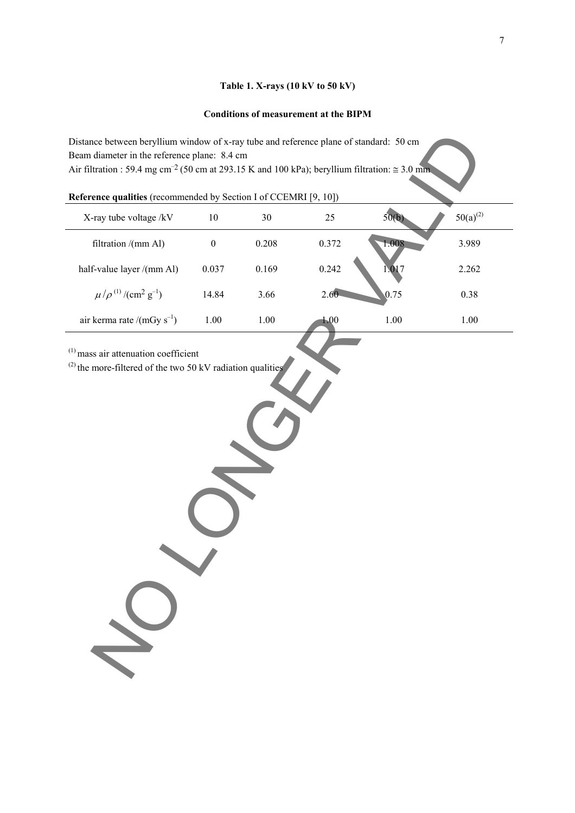# **Table 1. X-rays (10 kV to 50 kV)**

## **Conditions of measurement at the BIPM**

| Reference qualities (recommended by Section I of CCEMRI [9, 10]) |  |  |  |  |
|------------------------------------------------------------------|--|--|--|--|
|------------------------------------------------------------------|--|--|--|--|

| Distance between beryllium window of x-ray tube and reference plane of standard: 50 cm<br>Beam diameter in the reference plane: 8.4 cm<br>Air filtration : 59.4 mg cm <sup>-2</sup> (50 cm at 293.15 K and 100 kPa); beryllium filtration: $\approx$ 3.0 mm |                  |          |       |          |               |
|-------------------------------------------------------------------------------------------------------------------------------------------------------------------------------------------------------------------------------------------------------------|------------------|----------|-------|----------|---------------|
| Reference qualities (recommended by Section I of CCEMRI [9, 10])                                                                                                                                                                                            |                  |          |       |          |               |
| X-ray tube voltage /kV                                                                                                                                                                                                                                      | 10               | 30       | 25    | 50(b)    | $50(a)^{(2)}$ |
| filtration /(mm Al)                                                                                                                                                                                                                                         | $\boldsymbol{0}$ | 0.208    | 0.372 | 1.008    | 3.989         |
| half-value layer /(mm Al)                                                                                                                                                                                                                                   | 0.037            | 0.169    | 0.242 | 1.017    | 2.262         |
| $\mu/\rho^{(1)}/(\text{cm}^2 \text{ g}^{-1})$                                                                                                                                                                                                               | 14.84            | 3.66     | 2.60  | 0.75     | 0.38          |
| air kerma rate /(mGy $s^{-1}$ )                                                                                                                                                                                                                             | 1.00             | $1.00\,$ | 1.00  | $1.00\,$ | 1.00          |
| $(1)$ mass air attenuation coefficient<br>$^{(2)}$ the more-filtered of the two 50 kV radiation qualities                                                                                                                                                   |                  |          |       |          |               |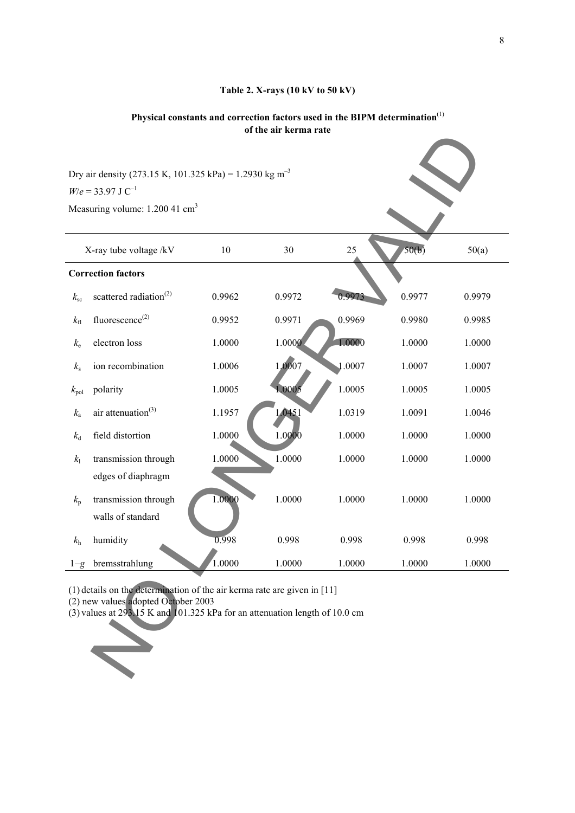# **Table 2. X-rays (10 kV to 50 kV)**

# **Physical constants and correction factors used in the BIPM determination**(1) **of the air kerma rate**

|               |                                                                                                                                                                                                  |        | the all net that are |        |        |        |
|---------------|--------------------------------------------------------------------------------------------------------------------------------------------------------------------------------------------------|--------|----------------------|--------|--------|--------|
|               | Dry air density (273.15 K, 101.325 kPa) = 1.2930 kg m <sup>-3</sup><br>$W/e = 33.97$ J C <sup>-1</sup><br>Measuring volume: 1.200 41 cm <sup>3</sup>                                             |        |                      |        |        |        |
|               | X-ray tube voltage /kV                                                                                                                                                                           | 10     | 30                   | 25     | 50(b)  | 50(a)  |
|               | <b>Correction factors</b>                                                                                                                                                                        |        |                      |        |        |        |
| $k_{\rm sc}$  | scattered radiation <sup>(2)</sup>                                                                                                                                                               | 0.9962 | 0.9972               | 0.9973 | 0.9977 | 0.9979 |
| $k_{\rm fl}$  | fluorescence <sup>(2)</sup>                                                                                                                                                                      | 0.9952 | 0.9971               | 0.9969 | 0.9980 | 0.9985 |
| $k_{\rm e}$   | electron loss                                                                                                                                                                                    | 1.0000 | 1.0000               | 1.0000 | 1.0000 | 1.0000 |
| $k_{\rm s}$   | ion recombination                                                                                                                                                                                | 1.0006 | 1,0007               | 1.0007 | 1.0007 | 1.0007 |
| $k_{\rm pol}$ | polarity                                                                                                                                                                                         | 1.0005 | 1.0005               | 1.0005 | 1.0005 | 1.0005 |
| $k_{\rm a}$   | air attenuation <sup>(3)</sup>                                                                                                                                                                   | 1.1957 | 1.0451               | 1.0319 | 1.0091 | 1.0046 |
| $k_{\rm d}$   | field distortion                                                                                                                                                                                 | 1.0000 | 1.0000               | 1.0000 | 1.0000 | 1.0000 |
| $k_{\rm l}$   | transmission through                                                                                                                                                                             | 1.0000 | 1.0000               | 1.0000 | 1.0000 | 1.0000 |
|               | edges of diaphragm                                                                                                                                                                               |        |                      |        |        |        |
| $k_{p}$       | transmission through<br>walls of standard                                                                                                                                                        | 1.0000 | 1.0000               | 1.0000 | 1.0000 | 1.0000 |
| $k_{\rm h}$   | humidity                                                                                                                                                                                         | 0.998  | 0.998                | 0.998  | 0.998  | 0.998  |
|               | $1-g$ bremsstrahlung                                                                                                                                                                             | 1.0000 | 1.0000               | 1.0000 | 1.0000 | 1.0000 |
|               | $(1)$ details on the determination of the air kerma rate are given in [11]<br>(2) new values adopted October 2003<br>(3) values at 293 15 K and 101.325 kPa for an attenuation length of 10.0 cm |        |                      |        |        |        |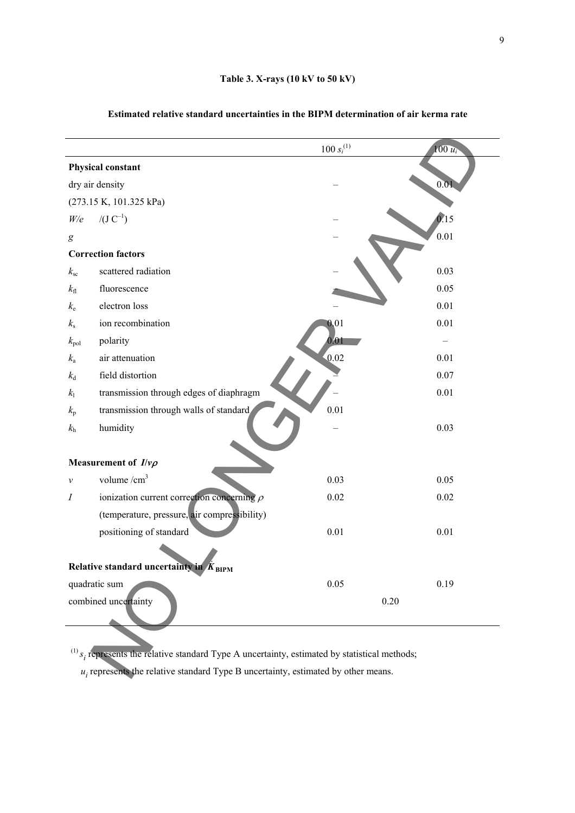|                  |                                                                                                       | $100 s_i^{(1)}$   | $100 u_i$         |
|------------------|-------------------------------------------------------------------------------------------------------|-------------------|-------------------|
|                  | <b>Physical constant</b>                                                                              |                   |                   |
|                  | dry air density                                                                                       |                   | 0.01              |
|                  | (273.15 K, 101.325 kPa)                                                                               |                   |                   |
| W/e              | $/(J C^{-1})$                                                                                         |                   | $\overline{0.15}$ |
| $\boldsymbol{g}$ |                                                                                                       |                   | 0.01              |
|                  | <b>Correction factors</b>                                                                             |                   |                   |
| $k_{\rm sc}$     | scattered radiation                                                                                   |                   | 0.03              |
| $k_{\rm fl}$     | fluorescence                                                                                          |                   | 0.05              |
| $k_{\rm e}$      | electron loss                                                                                         |                   | 0.01              |
| $k_{\rm s}$      | ion recombination                                                                                     | 0.01              | 0.01              |
| $k_{\rm pol}$    | polarity                                                                                              | 0.01              |                   |
| $k_{\rm a}$      | air attenuation                                                                                       | $\overline{0.02}$ | 0.01              |
| $k_{\rm d}$      | field distortion                                                                                      |                   | 0.07              |
| k <sub>1</sub>   | transmission through edges of diaphragm                                                               |                   | 0.01              |
| $k_{\rm p}$      | transmission through walls of standard                                                                | 0.01              |                   |
| $k_{\rm h}$      | humidity                                                                                              |                   | 0.03              |
|                  |                                                                                                       |                   |                   |
|                  | Measurement of $I/\nu\rho$                                                                            |                   |                   |
| ν                | volume $/cm3$                                                                                         | 0.03              | 0.05              |
| $\boldsymbol{I}$ | ionization current correction concerning $\rho$                                                       | 0.02              | 0.02              |
|                  | (temperature, pressure, air compressibility)                                                          |                   |                   |
|                  | positioning of standard                                                                               | 0.01              | 0.01              |
|                  |                                                                                                       |                   |                   |
|                  | Relative standard uncertainty in $K_{\text{BIPM}}$                                                    |                   |                   |
|                  | quadratic sum                                                                                         | 0.05              | 0.19              |
|                  | combined uncertainty                                                                                  |                   | 0.20              |
|                  |                                                                                                       |                   |                   |
|                  |                                                                                                       |                   |                   |
|                  | $^{(1)}$ $s_i$ represents the relative standard Type A uncertainty, estimated by statistical methods; |                   |                   |
|                  | $u_i$ represents the relative standard Type B uncertainty, estimated by other means.                  |                   |                   |

# **Estimated relative standard uncertainties in the BIPM determination of air kerma rate**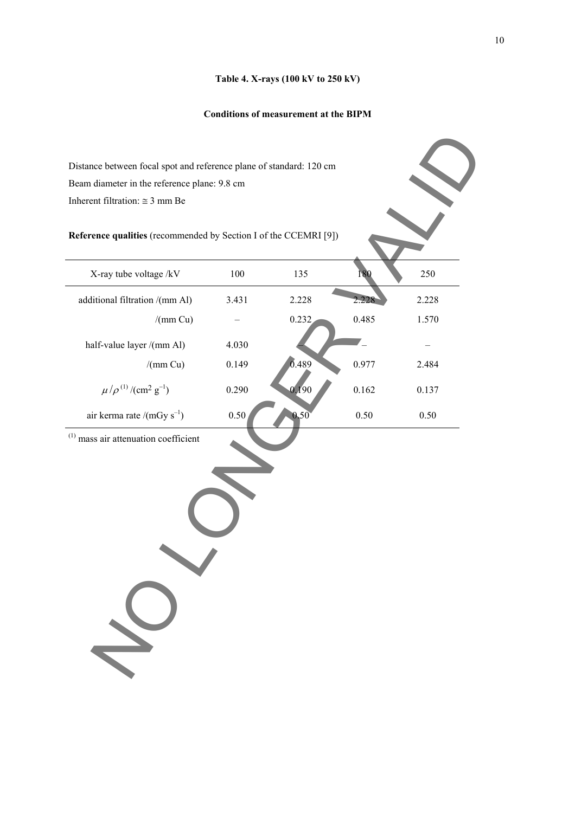#### **Table 4. X-rays (100 kV to 250 kV)**

## **Conditions of measurement at the BIPM**

| Distance between focal spot and reference plane of standard: 120 cm |       |       |       |       |  |  |
|---------------------------------------------------------------------|-------|-------|-------|-------|--|--|
| Beam diameter in the reference plane: 9.8 cm                        |       |       |       |       |  |  |
| Inherent filtration: $\approx$ 3 mm Be                              |       |       |       |       |  |  |
| Reference qualities (recommended by Section I of the CCEMRI [9])    |       |       |       |       |  |  |
| X-ray tube voltage /kV                                              | 100   | 135   | 80    | 250   |  |  |
| additional filtration /(mm Al)                                      | 3.431 | 2.228 | 2.228 | 2.228 |  |  |
| /(mm Cu)                                                            |       | 0.232 | 0.485 | 1.570 |  |  |
| half-value layer /(mm Al)                                           | 4.030 |       |       |       |  |  |
| /(mm Cu)                                                            | 0.149 | 0.489 | 0.977 | 2.484 |  |  |
| $\mu/\rho^{(1)}/(\text{cm}^2 \text{ g}^{-1})$                       | 0.290 | 0.190 | 0.162 | 0.137 |  |  |
| air kerma rate /(mGy $s^{-1}$ )                                     | 0.50  | 0.50  | 0.50  | 0.50  |  |  |
| $(1)$ mass air attenuation coefficient                              |       |       |       |       |  |  |
|                                                                     |       |       |       |       |  |  |
|                                                                     |       |       |       |       |  |  |
|                                                                     |       |       |       |       |  |  |
|                                                                     |       |       |       |       |  |  |
|                                                                     |       |       |       |       |  |  |
|                                                                     |       |       |       |       |  |  |
|                                                                     |       |       |       |       |  |  |
|                                                                     |       |       |       |       |  |  |
|                                                                     |       |       |       |       |  |  |
|                                                                     |       |       |       |       |  |  |
|                                                                     |       |       |       |       |  |  |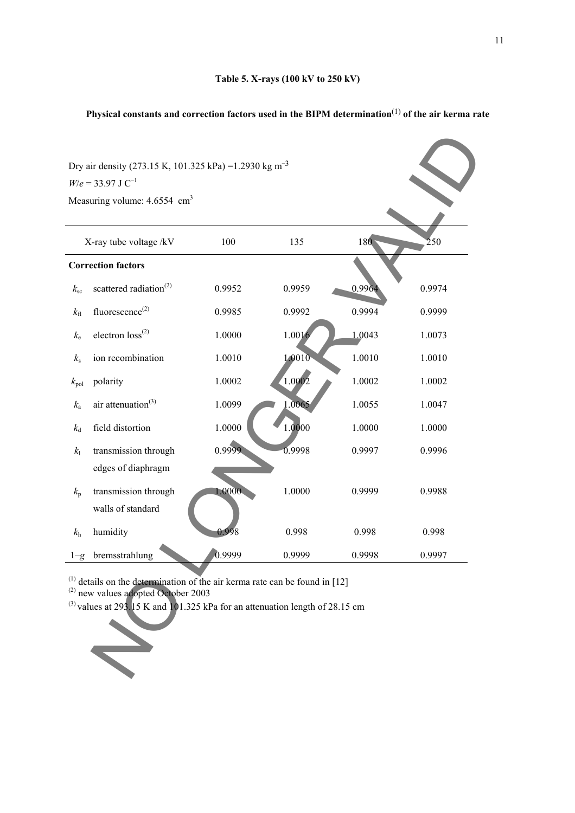# **Physical constants and correction factors used in the BIPM determination**(1) **of the air kerma rate**

| Dry air density (273.15 K, 101.325 kPa) = 1.2930 kg m <sup>-3</sup>                                                                |                                                                                   |        |        |        |             |  |  |
|------------------------------------------------------------------------------------------------------------------------------------|-----------------------------------------------------------------------------------|--------|--------|--------|-------------|--|--|
|                                                                                                                                    | $W/e = 33.97$ J C <sup>-1</sup>                                                   |        |        |        |             |  |  |
|                                                                                                                                    | Measuring volume: $4.6554$ cm <sup>3</sup>                                        |        |        |        |             |  |  |
|                                                                                                                                    |                                                                                   |        |        |        |             |  |  |
|                                                                                                                                    | X-ray tube voltage /kV                                                            | 100    | 135    | 180    | $\bar{2}50$ |  |  |
|                                                                                                                                    | <b>Correction factors</b>                                                         |        |        |        |             |  |  |
| $k_{\rm sc}$                                                                                                                       | scattered radiation <sup>(2)</sup>                                                | 0.9952 | 0.9959 | 0.996  | 0.9974      |  |  |
| $k_{\rm fl}$                                                                                                                       | fluorescence <sup>(2)</sup>                                                       | 0.9985 | 0.9992 | 0.9994 | 0.9999      |  |  |
| $k_{\rm e}$                                                                                                                        | electron $loss^{(2)}$                                                             | 1.0000 | 1.0016 | 1.0043 | 1.0073      |  |  |
| $k_{\rm s}$                                                                                                                        | ion recombination                                                                 | 1.0010 | 1.0010 | 1.0010 | 1.0010      |  |  |
| $k_{\rm pol}$                                                                                                                      | polarity                                                                          | 1.0002 | 1.0002 | 1.0002 | 1.0002      |  |  |
| $k_{\rm a}$                                                                                                                        | air attenuation <sup>(3)</sup>                                                    | 1.0099 | 1.0065 | 1.0055 | 1.0047      |  |  |
| $k_{\rm d}$                                                                                                                        | field distortion                                                                  | 1.0000 | 1.0000 | 1.0000 | 1.0000      |  |  |
| $k_{\rm l}$                                                                                                                        | transmission through                                                              | 0.9999 | 0.9998 | 0.9997 | 0.9996      |  |  |
|                                                                                                                                    | edges of diaphragm                                                                |        |        |        |             |  |  |
| $k_{p}$                                                                                                                            | transmission through                                                              | 1.0000 | 1.0000 | 0.9999 | 0.9988      |  |  |
|                                                                                                                                    | walls of standard                                                                 |        |        |        |             |  |  |
| $k_{\rm h}$                                                                                                                        | humidity                                                                          | 0.998  | 0.998  | 0.998  | 0.998       |  |  |
| $1 - g$                                                                                                                            | bremsstrahlung                                                                    | 0.9999 | 0.9999 | 0.9998 | 0.9997      |  |  |
| $^{(1)}$ details on the determination of the air kerma rate can be found in [12]<br><sup>(2)</sup> new values adopted October 2003 |                                                                                   |        |        |        |             |  |  |
|                                                                                                                                    | $^{(3)}$ values at 293.15 K and 101.325 kPa for an attenuation length of 28.15 cm |        |        |        |             |  |  |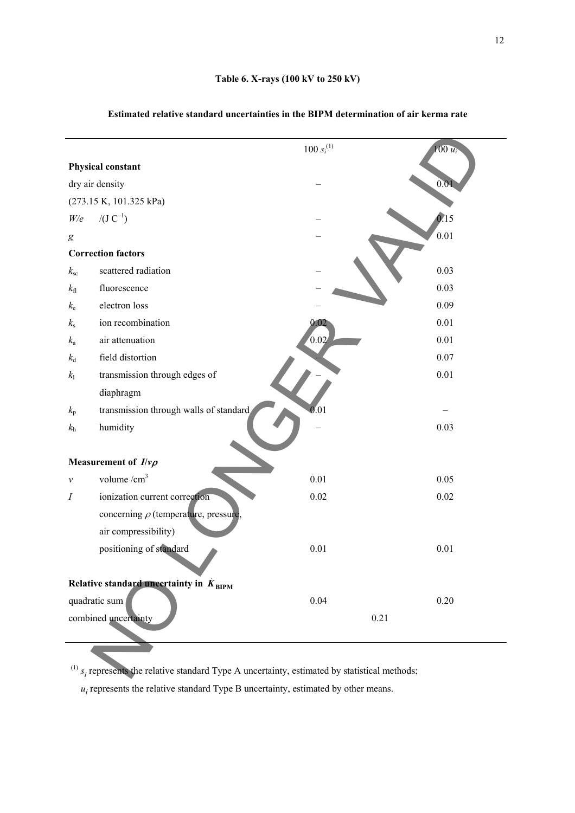|                  |                                                                                                       | $100\,{s_i}^{(1)}$ | $100 u_i$     |
|------------------|-------------------------------------------------------------------------------------------------------|--------------------|---------------|
|                  | Physical constant                                                                                     |                    |               |
|                  | dry air density                                                                                       |                    | 0.01          |
|                  | (273.15 K, 101.325 kPa)                                                                               |                    |               |
| W/e              | $/(J C^{-1})$                                                                                         |                    | $\ddot{0.15}$ |
| $\boldsymbol{g}$ |                                                                                                       |                    | 0.01          |
|                  | <b>Correction factors</b>                                                                             |                    |               |
| $k_{\rm sc}$     | scattered radiation                                                                                   |                    | 0.03          |
| $k_{\rm fl}$     | fluorescence                                                                                          |                    | 0.03          |
| $k_{\rm e}$      | electron loss                                                                                         |                    | 0.09          |
| $k_{\rm s}$      | ion recombination                                                                                     | 0.02               | 0.01          |
| $k_{\rm a}$      | air attenuation                                                                                       | 0.02               | 0.01          |
| $k_{\rm d}$      | field distortion                                                                                      |                    | 0.07          |
| $k_{\rm l}$      | transmission through edges of                                                                         |                    | 0.01          |
|                  | diaphragm                                                                                             |                    |               |
| $k_{\rm p}$      | transmission through walls of standard                                                                | 0.01               |               |
| $k_{\rm h}$      | humidity                                                                                              |                    | 0.03          |
|                  |                                                                                                       |                    |               |
|                  | Measurement of $I/\nu\rho$                                                                            |                    |               |
| $\mathcal V$     | volume /cm <sup>3</sup>                                                                               | 0.01               | 0.05          |
| $\boldsymbol{I}$ | ionization current correction                                                                         | 0.02               | 0.02          |
|                  | concerning $\rho$ (temperature, pressure,                                                             |                    |               |
|                  | air compressibility)                                                                                  |                    |               |
|                  | positioning of standard                                                                               | 0.01               | 0.01          |
|                  |                                                                                                       |                    |               |
|                  | Relative standard uncertainty in $K_{\text{BIPM}}$                                                    |                    |               |
|                  | quadratic sum                                                                                         | 0.04               | 0.20          |
|                  | combined uncertainty                                                                                  |                    | 0.21          |
|                  |                                                                                                       |                    |               |
|                  |                                                                                                       |                    |               |
|                  | $^{(1)}$ $s_i$ represents the relative standard Type A uncertainty, estimated by statistical methods; |                    |               |

# **Estimated relative standard uncertainties in the BIPM determination of air kerma rate**

 $u_i$  represents the relative standard Type B uncertainty, estimated by other means.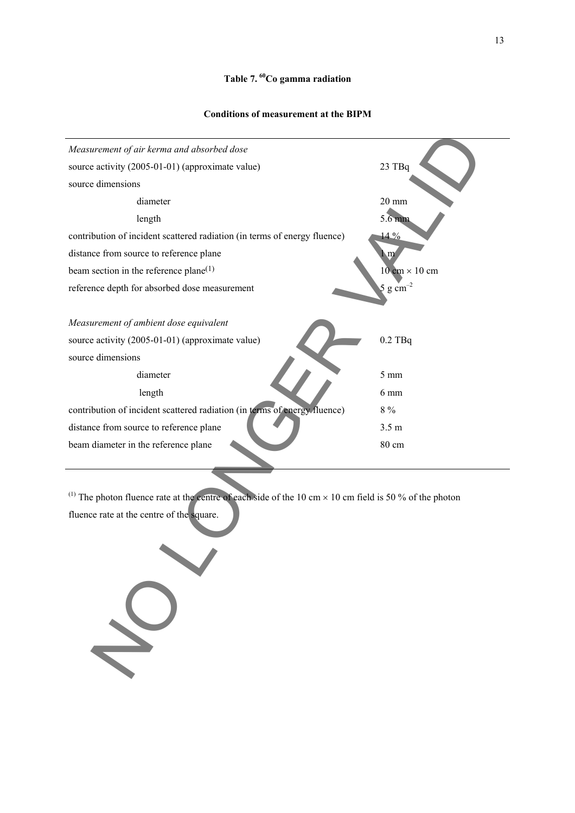## **Table 7. 60Co gamma radiation**

13

#### **Conditions of measurement at the BIPM**



<sup>(1)</sup> The photon fluence rate at the centre of each side of the 10 cm  $\times$  10 cm field is 50 % of the photon fluence rate at the centre of the square.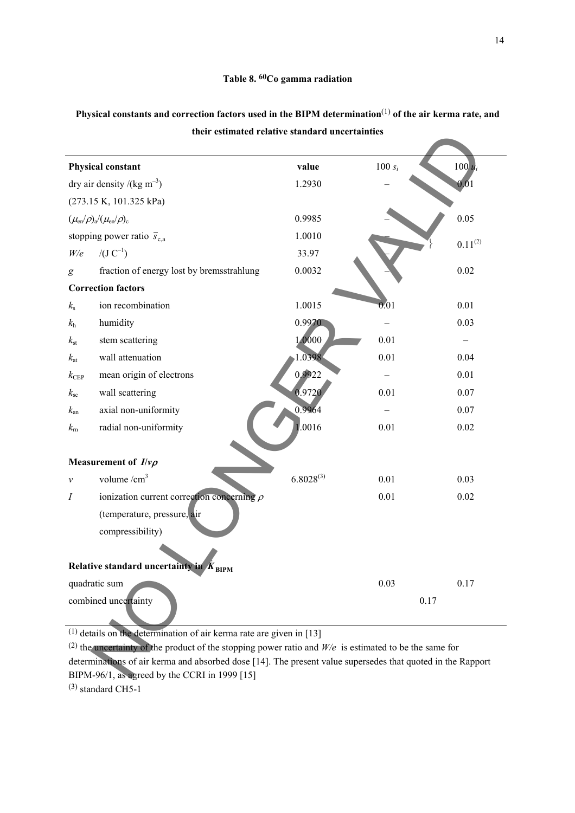| <b>Physical constant</b><br>dry air density /(kg m <sup>-3</sup> )                                                                                           | value<br>1.2930 | $100 s_i$ | $100u_i$     |
|--------------------------------------------------------------------------------------------------------------------------------------------------------------|-----------------|-----------|--------------|
|                                                                                                                                                              |                 |           |              |
|                                                                                                                                                              |                 |           | 0,01         |
| (273.15 K, 101.325 kPa)                                                                                                                                      |                 |           |              |
| $(\mu_{en}/\rho)_{a}/(\mu_{en}/\rho)_{c}$                                                                                                                    | 0.9985          |           | 0.05         |
| stopping power ratio $\bar{s}_{c,a}$                                                                                                                         | 1.0010          |           | $0.11^{(2)}$ |
| $/(J C^{-1})$<br>W/e                                                                                                                                         | 33.97           |           |              |
| fraction of energy lost by bremsstrahlung<br>g                                                                                                               | 0.0032          |           | 0.02         |
| <b>Correction factors</b>                                                                                                                                    |                 |           |              |
| ion recombination<br>$k_{\rm s}$                                                                                                                             | 1.0015          | 0.01      | 0.01         |
| humidity<br>$k_{\rm h}$                                                                                                                                      | 0.9970          |           | 0.03         |
| stem scattering<br>$k_{\rm st}$                                                                                                                              | 1.0000          | 0.01      |              |
| wall attenuation<br>$k_{\rm at}$                                                                                                                             | 1.0398          | 0.01      | 0.04         |
| mean origin of electrons<br>$k_{\rm CEP}$                                                                                                                    | 0.9922          |           | 0.01         |
| wall scattering<br>$k_{\rm sc}$                                                                                                                              | 0.9720          | 0.01      | 0.07         |
| axial non-uniformity<br>$k_{\rm an}$                                                                                                                         | 0.9964          |           | 0.07         |
| radial non-uniformity<br>$k_{\rm m}$                                                                                                                         | .0016           | 0.01      | 0.02         |
| Measurement of $I/\nu\rho$                                                                                                                                   |                 |           |              |
| volume $/cm3$<br>$\mathcal V$                                                                                                                                | $6.8028^{(3)}$  | 0.01      | 0.03         |
| ionization current correction concerning $\rho$<br>Ι                                                                                                         |                 | 0.01      | 0.02         |
| (temperature, pressure, air                                                                                                                                  |                 |           |              |
| compressibility)                                                                                                                                             |                 |           |              |
| Relative standard uncertainty in $K_{\text{BIPM}}$                                                                                                           |                 |           |              |
| quadratic sum                                                                                                                                                |                 | 0.03      | 0.17         |
| combined uncertainty                                                                                                                                         |                 | 0.17      |              |
| $(1)$ details on the determination of air kerma rate are given in [13]                                                                                       |                 |           |              |
| (2) the uncertainty of the product of the stopping power ratio and $W/e$ is estimated to be the same for                                                     |                 |           |              |
| determinations of air kerma and absorbed dose [14]. The present value supersedes that quoted in the Rapport<br>BIPM-96/1, as agreed by the CCRI in 1999 [15] |                 |           |              |

# **Physical constants and correction factors used in the BIPM determination**(1) **of the air kerma rate, and their estimated relative standard uncertainties**

(2) the uncertainty of the product of the stopping power ratio and *W/e* is estimated to be the same for determinations of air kerma and absorbed dose [14]. The present value supersedes that quoted in the Rapport BIPM-96/1, as agreed by the CCRI in 1999 [15] (3) standard CH5-1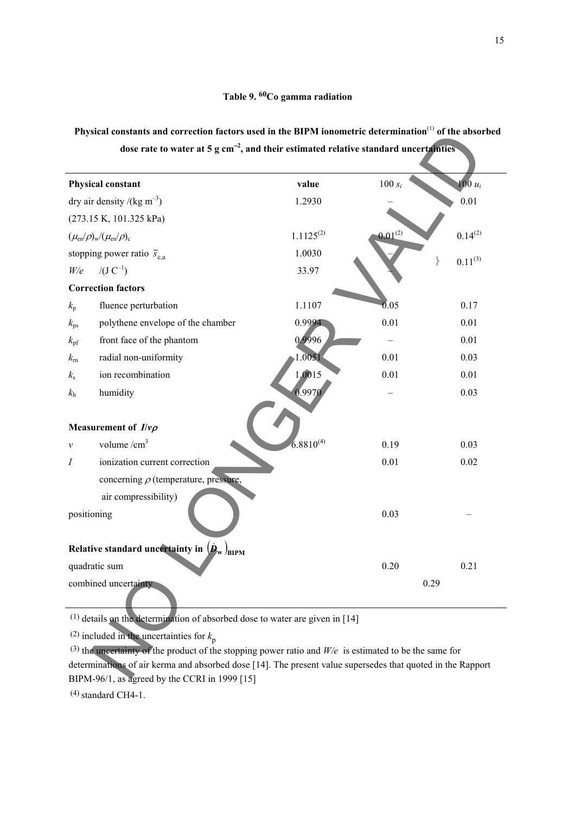| Physical constants and correction factors used in the BIPM ionometric determination <sup>(1)</sup> of the absorbed |  |                                                                                                   |  |
|--------------------------------------------------------------------------------------------------------------------|--|---------------------------------------------------------------------------------------------------|--|
|                                                                                                                    |  | dose rate to water at 5 $g \text{ cm}^{-2}$ , and their estimated relative standard uncertainties |  |

| Physical constants and correction factors used in the BIP/M fonometric determination to the absorbed<br>dose rate to water at 5 $g \text{ cm}^{-2}$ , and their estimated relative standard uncertainties |                |              |              |
|-----------------------------------------------------------------------------------------------------------------------------------------------------------------------------------------------------------|----------------|--------------|--------------|
| <b>Physical constant</b>                                                                                                                                                                                  | value          | $100 s_i$    | $100 u_i$    |
| dry air density /(kg m <sup>-3</sup> )                                                                                                                                                                    | 1.2930         |              | 0.01         |
| (273.15 K, 101.325 kPa)                                                                                                                                                                                   |                |              |              |
| $(\mu_{en}/\rho)_{w}/(\mu_{en}/\rho)_{c}$                                                                                                                                                                 | $1.1125^{(2)}$ | $0.01^{(2)}$ | $0.14^{(2)}$ |
| stopping power ratio $\bar{s}_{c,a}$                                                                                                                                                                      | 1.0030         |              | $0.11^{(3)}$ |
| $/(J C^{-1})$<br>W/e                                                                                                                                                                                      | 33.97          |              |              |
| <b>Correction factors</b>                                                                                                                                                                                 |                |              |              |
| fluence perturbation<br>$k_{\rm p}$                                                                                                                                                                       | 1.1107         | 0.05         | 0.17         |
| polythene envelope of the chamber<br>$k_{\rm ps}$                                                                                                                                                         | 0.9994         | 0.01         | 0.01         |
| front face of the phantom<br>$k_{\rm pf}$                                                                                                                                                                 | 0.9996         |              | 0.01         |
| radial non-uniformity<br>$k_{\rm m}$                                                                                                                                                                      | .1.0051        | 0.01         | 0.03         |
| ion recombination<br>$k_{\rm s}$                                                                                                                                                                          | 1,0015         | 0.01         | 0.01         |
| humidity<br>$k_{\rm h}$                                                                                                                                                                                   | 0.9970         |              | 0.03         |
| Measurement of $I/\nu\rho$                                                                                                                                                                                |                |              |              |
| volume $/cm3$<br>$\mathcal V$                                                                                                                                                                             | $6.8810^{(4)}$ | 0.19         | 0.03         |
| ionization current correction<br>Ι                                                                                                                                                                        |                | 0.01         | $0.02\,$     |
| concerning $\rho$ (temperature, pressure,                                                                                                                                                                 |                |              |              |
| air compressibility)<br>positioning                                                                                                                                                                       |                | 0.03         |              |
| Relative standard uncertainty in $(\dot{\bm{D}}_w)$<br>/bipm                                                                                                                                              |                |              |              |
| quadratic sum                                                                                                                                                                                             |                | 0.20         | 0.21         |
| combined uncertainty                                                                                                                                                                                      |                |              | 0.29         |
| $(1)$ details on the determination of absorbed dose to water are given in [14]                                                                                                                            |                |              |              |
| <sup>(2)</sup> included in the uncertainties for $k_p$                                                                                                                                                    |                |              |              |
| (3) the uncertainty of the product of the stopping power ratio and $W/e$ is estimated to be the same for                                                                                                  |                |              |              |
| determinations of air kerma and absorbed dose [14]. The present value supersedes that quoted in the Rapport<br>$RIDM 06/1$ as agreed by the CCDI in 1000 [15]                                             |                |              |              |

 (3) the uncertainty of the product of the stopping power ratio and *W/e* is estimated to be the same for determinations of air kerma and absorbed dose [14]. The present value supersedes that quoted in the Rapport BIPM-96/1, as agreed by the CCRI in 1999 [15]

 $(4)$  standard CH4-1.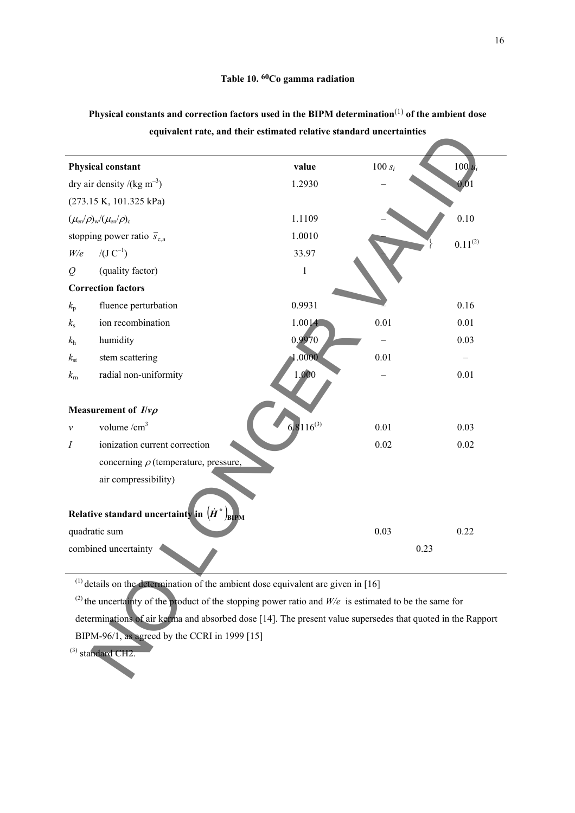|                              |                                                                                                                     | equivalent rate, and their estimated relative standard uncertainties |           |              |
|------------------------------|---------------------------------------------------------------------------------------------------------------------|----------------------------------------------------------------------|-----------|--------------|
|                              | <b>Physical constant</b>                                                                                            | value                                                                | $100 s_i$ | $100u_i$     |
|                              | dry air density /(kg m <sup>-3</sup> )                                                                              | 1.2930                                                               |           | 0,01         |
|                              | (273.15 K, 101.325 kPa)                                                                                             |                                                                      |           |              |
|                              | $(\mu_{en}/\rho)_{w}/(\mu_{en}/\rho)_{c}$                                                                           | 1.1109                                                               |           | 0.10         |
|                              | stopping power ratio $\bar{s}_{c,a}$                                                                                | 1.0010                                                               |           | $0.11^{(2)}$ |
| W/e                          | $/(J C^{-1})$                                                                                                       | 33.97                                                                |           |              |
| $\varrho$                    | (quality factor)                                                                                                    | $\,1$                                                                |           |              |
|                              | <b>Correction factors</b>                                                                                           |                                                                      |           |              |
| $k_{\rm p}$                  | fluence perturbation                                                                                                | 0.9931                                                               |           | 0.16         |
| $k_{\rm s}$                  | ion recombination                                                                                                   | 1.0014                                                               | 0.01      | 0.01         |
| $k_{\rm h}$                  | humidity                                                                                                            | 0.9970                                                               |           | 0.03         |
| $k_{\rm st}$                 | stem scattering                                                                                                     | .0000                                                                | 0.01      |              |
| $k_{\rm m}$                  | radial non-uniformity                                                                                               | 1.000                                                                |           | 0.01         |
|                              | Measurement of $I/\nu\rho$                                                                                          |                                                                      |           |              |
| $\mathcal V$                 | volume $/cm3$                                                                                                       | $6.8116^{(3)}$                                                       | 0.01      | 0.03         |
| $\boldsymbol{I}$             | ionization current correction                                                                                       |                                                                      | 0.02      | 0.02         |
|                              | concerning $\rho$ (temperature, pressure,                                                                           |                                                                      |           |              |
|                              | air compressibility)<br>Relative standard uncertainty in $(H^*)$<br>BIPM                                            |                                                                      |           |              |
|                              | quadratic sum                                                                                                       |                                                                      | 0.03      | 0.22         |
| combined uncertainty<br>0.23 |                                                                                                                     |                                                                      |           |              |
|                              | $(1)$ details on the determination of the ambient dose equivalent are given in [16]                                 |                                                                      |           |              |
|                              | <sup>(2)</sup> the uncertainty of the product of the stopping power ratio and $W/e$ is estimated to be the same for |                                                                      |           |              |
|                              | determinations of air kerma and absorbed dose [14]. The present value supersedes that quoted in the Rapport         |                                                                      |           |              |
|                              | BIPM-96/1, as agreed by the CCRI in 1999 [15]                                                                       |                                                                      |           |              |
|                              | $^{(3)}$ standard CH2.                                                                                              |                                                                      |           |              |

**Physical constants and correction factors used in the BIPM determination**(1) **of the ambient dose equivalent rate, and their estimated relative standard uncertainties**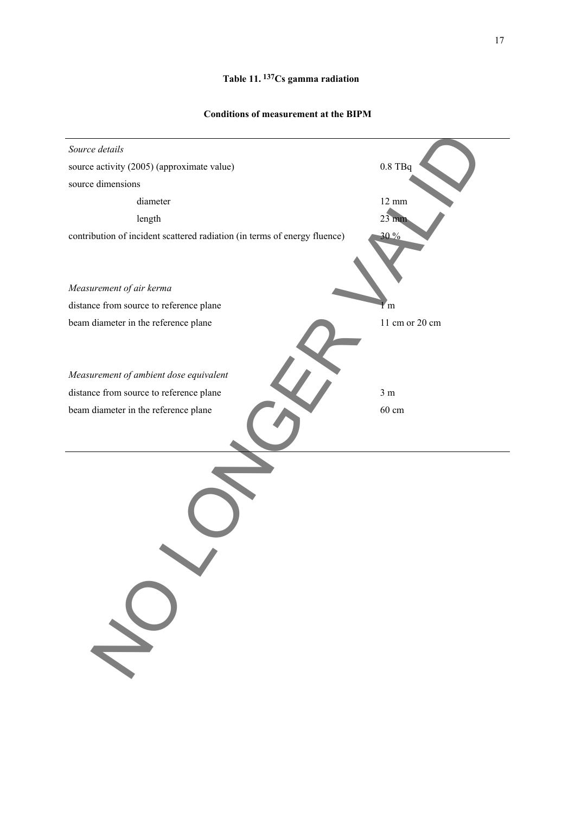# **Table 11. 137Cs gamma radiation**

#### **Conditions of measurement at the BIPM**

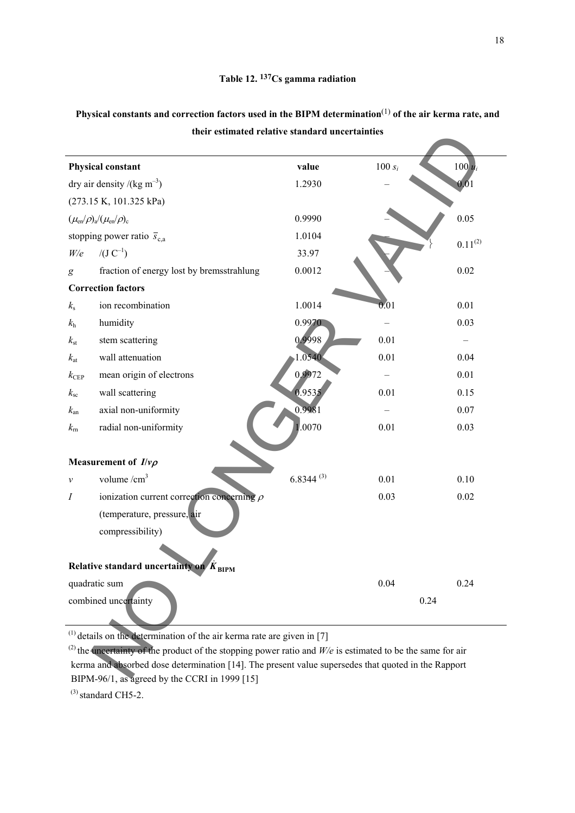| their estimated relative standard uncertainties                           |           |                                                                                                                                                                                                                                |
|---------------------------------------------------------------------------|-----------|--------------------------------------------------------------------------------------------------------------------------------------------------------------------------------------------------------------------------------|
| value                                                                     | $100 s_i$ | $100 u_i$                                                                                                                                                                                                                      |
| 1.2930                                                                    |           | 0,01                                                                                                                                                                                                                           |
|                                                                           |           |                                                                                                                                                                                                                                |
| 0.9990                                                                    |           | 0.05                                                                                                                                                                                                                           |
| 1.0104                                                                    |           | $0.11^{(2)}$                                                                                                                                                                                                                   |
| 33.97                                                                     |           |                                                                                                                                                                                                                                |
| 0.0012                                                                    |           | 0.02                                                                                                                                                                                                                           |
|                                                                           |           |                                                                                                                                                                                                                                |
| 1.0014                                                                    | 0.01      | 0.01                                                                                                                                                                                                                           |
| 0.9970                                                                    |           | 0.03                                                                                                                                                                                                                           |
| 0.9998                                                                    | 0.01      |                                                                                                                                                                                                                                |
| 1.0540                                                                    | 0.01      | 0.04                                                                                                                                                                                                                           |
| 0,9972                                                                    |           | 0.01                                                                                                                                                                                                                           |
| 0.9535                                                                    | 0.01      | 0.15                                                                                                                                                                                                                           |
| 0.9981                                                                    |           | 0.07                                                                                                                                                                                                                           |
| 1.0070                                                                    | 0.01      | 0.03                                                                                                                                                                                                                           |
|                                                                           |           |                                                                                                                                                                                                                                |
| $6.8344^{(3)}$                                                            | 0.01      | 0.10                                                                                                                                                                                                                           |
|                                                                           | 0.03      | 0.02                                                                                                                                                                                                                           |
|                                                                           |           |                                                                                                                                                                                                                                |
|                                                                           |           |                                                                                                                                                                                                                                |
|                                                                           |           |                                                                                                                                                                                                                                |
|                                                                           | 0.04      | 0.24                                                                                                                                                                                                                           |
|                                                                           | 0.24      |                                                                                                                                                                                                                                |
| $(1)$ details on the determination of the air kerma rate are given in [7] |           |                                                                                                                                                                                                                                |
|                                                                           |           |                                                                                                                                                                                                                                |
|                                                                           |           |                                                                                                                                                                                                                                |
|                                                                           |           | <sup>(2)</sup> the uncertainty of the product of the stopping power ratio and $W/e$ is estimated to be the same for air<br>kerma and absorbed dose determination [14]. The present value supersedes that quoted in the Rapport |

# **Physical constants and correction factors used in the BIPM determination**(1) **of the air kerma rate, and their estimated relative standard uncertainties**

 $^{(2)}$  the uncertainty of the product of the stopping power ratio and *W/e* is estimated to be the same for air kerma and absorbed dose determination [14]. The present value supersedes that quoted in the Rapport BIPM-96/1, as agreed by the CCRI in 1999 [15]

 $^{(3)}$  standard CH5-2.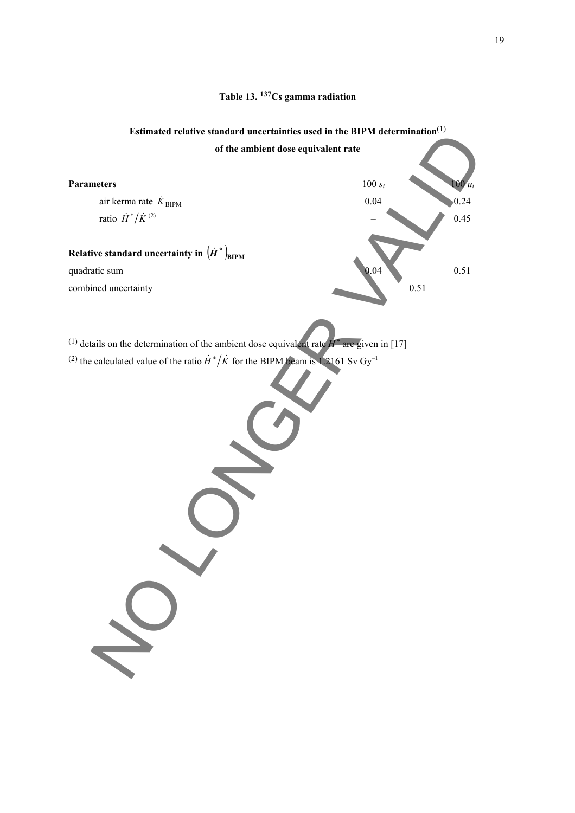# **Table 13. 137Cs gamma radiation**